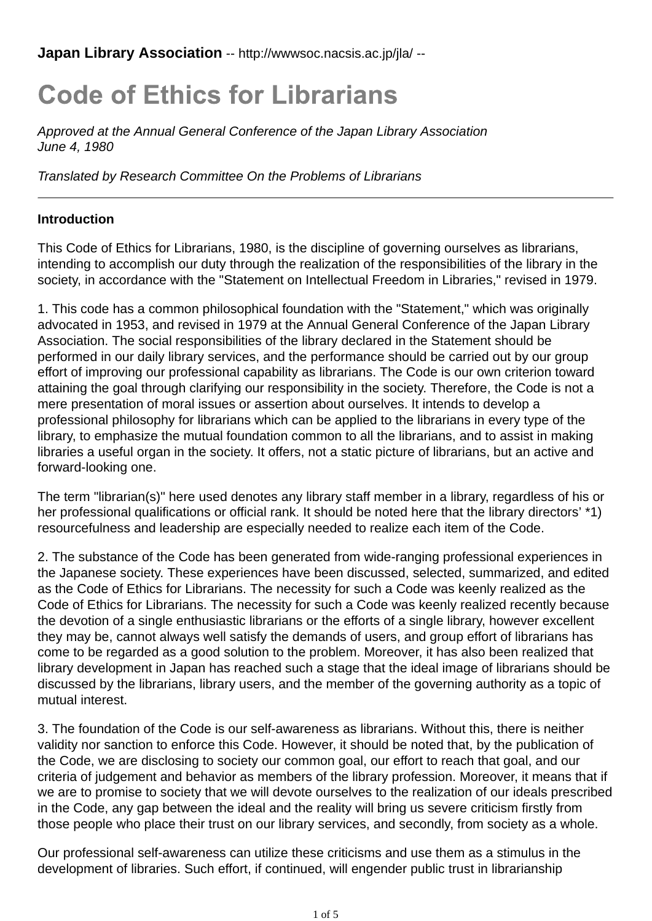**Japan Library Association** -- http://wwwsoc.nacsis.ac.jp/jla/ --

# **Code of Ethics for Librarians**

*Approved at the Annual General Conference of the Japan Library Association June 4, 1980*

*Translated by Research Committee On the Problems of Librarians*

### **Introduction**

This Code of Ethics for Librarians, 1980, is the discipline of governing ourselves as librarians, intending to accomplish our duty through the realization of the responsibilities of the library in the society, in accordance with the "Statement on Intellectual Freedom in Libraries," revised in 1979.

1. This code has a common philosophical foundation with the "Statement," which was originally advocated in 1953, and revised in 1979 at the Annual General Conference of the Japan Library Association. The social responsibilities of the library declared in the Statement should be performed in our daily library services, and the performance should be carried out by our group effort of improving our professional capability as librarians. The Code is our own criterion toward attaining the goal through clarifying our responsibility in the society. Therefore, the Code is not a mere presentation of moral issues or assertion about ourselves. It intends to develop a professional philosophy for librarians which can be applied to the librarians in every type of the library, to emphasize the mutual foundation common to all the librarians, and to assist in making libraries a useful organ in the society. It offers, not a static picture of librarians, but an active and forward-looking one.

The term "librarian(s)" here used denotes any library staff member in a library, regardless of his or her professional qualifications or official rank. It should be noted here that the library directors' \*1) resourcefulness and leadership are especially needed to realize each item of the Code.

2. The substance of the Code has been generated from wide-ranging professional experiences in the Japanese society. These experiences have been discussed, selected, summarized, and edited as the Code of Ethics for Librarians. The necessity for such a Code was keenly realized as the Code of Ethics for Librarians. The necessity for such a Code was keenly realized recently because the devotion of a single enthusiastic librarians or the efforts of a single library, however excellent they may be, cannot always well satisfy the demands of users, and group effort of librarians has come to be regarded as a good solution to the problem. Moreover, it has also been realized that library development in Japan has reached such a stage that the ideal image of librarians should be discussed by the librarians, library users, and the member of the governing authority as a topic of mutual interest.

3. The foundation of the Code is our self-awareness as librarians. Without this, there is neither validity nor sanction to enforce this Code. However, it should be noted that, by the publication of the Code, we are disclosing to society our common goal, our effort to reach that goal, and our criteria of judgement and behavior as members of the library profession. Moreover, it means that if we are to promise to society that we will devote ourselves to the realization of our ideals prescribed in the Code, any gap between the ideal and the reality will bring us severe criticism firstly from those people who place their trust on our library services, and secondly, from society as a whole.

Our professional self-awareness can utilize these criticisms and use them as a stimulus in the development of libraries. Such effort, if continued, will engender public trust in librarianship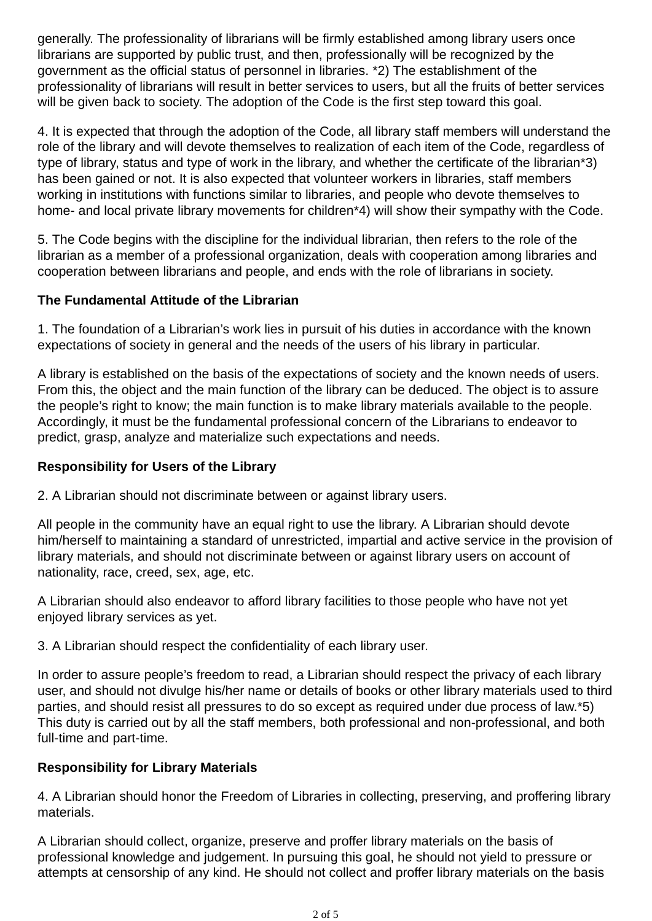generally. The professionality of librarians will be firmly established among library users once librarians are supported by public trust, and then, professionally will be recognized by the government as the official status of personnel in libraries. \*2) The establishment of the professionality of librarians will result in better services to users, but all the fruits of better services will be given back to society. The adoption of the Code is the first step toward this goal.

4. It is expected that through the adoption of the Code, all library staff members will understand the role of the library and will devote themselves to realization of each item of the Code, regardless of type of library, status and type of work in the library, and whether the certificate of the librarian\*3) has been gained or not. It is also expected that volunteer workers in libraries, staff members working in institutions with functions similar to libraries, and people who devote themselves to home- and local private library movements for children\*4) will show their sympathy with the Code.

5. The Code begins with the discipline for the individual librarian, then refers to the role of the librarian as a member of a professional organization, deals with cooperation among libraries and cooperation between librarians and people, and ends with the role of librarians in society.

# **The Fundamental Attitude of the Librarian**

1. The foundation of a Librarian's work lies in pursuit of his duties in accordance with the known expectations of society in general and the needs of the users of his library in particular.

A library is established on the basis of the expectations of society and the known needs of users. From this, the object and the main function of the library can be deduced. The object is to assure the people's right to know; the main function is to make library materials available to the people. Accordingly, it must be the fundamental professional concern of the Librarians to endeavor to predict, grasp, analyze and materialize such expectations and needs.

# **Responsibility for Users of the Library**

2. A Librarian should not discriminate between or against library users.

All people in the community have an equal right to use the library. A Librarian should devote him/herself to maintaining a standard of unrestricted, impartial and active service in the provision of library materials, and should not discriminate between or against library users on account of nationality, race, creed, sex, age, etc.

A Librarian should also endeavor to afford library facilities to those people who have not yet enjoyed library services as yet.

3. A Librarian should respect the confidentiality of each library user.

In order to assure people's freedom to read, a Librarian should respect the privacy of each library user, and should not divulge his/her name or details of books or other library materials used to third parties, and should resist all pressures to do so except as required under due process of law.\*5) This duty is carried out by all the staff members, both professional and non-professional, and both full-time and part-time.

# **Responsibility for Library Materials**

4. A Librarian should honor the Freedom of Libraries in collecting, preserving, and proffering library materials.

A Librarian should collect, organize, preserve and proffer library materials on the basis of professional knowledge and judgement. In pursuing this goal, he should not yield to pressure or attempts at censorship of any kind. He should not collect and proffer library materials on the basis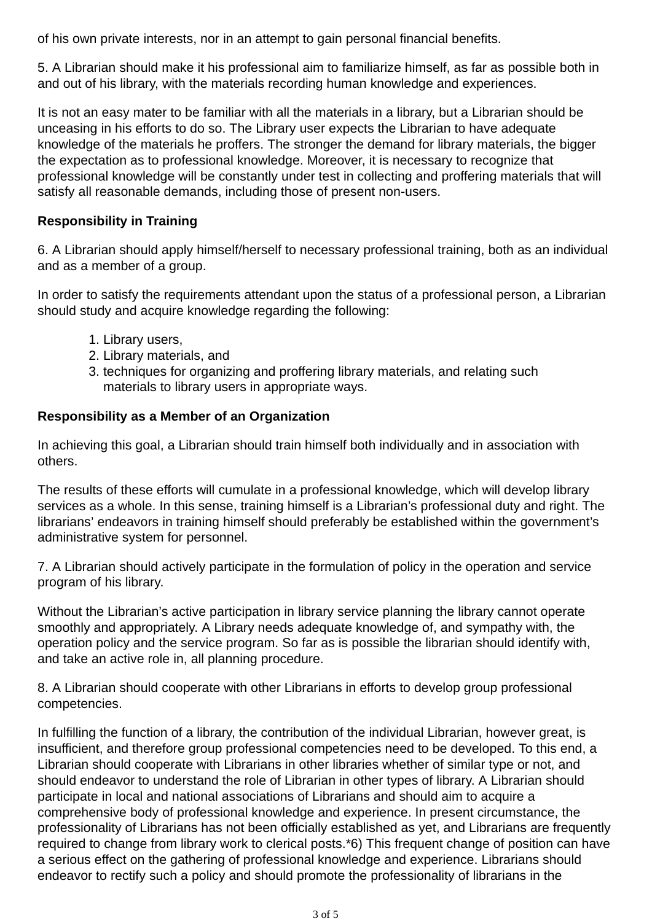of his own private interests, nor in an attempt to gain personal financial benefits.

5. A Librarian should make it his professional aim to familiarize himself, as far as possible both in and out of his library, with the materials recording human knowledge and experiences.

It is not an easy mater to be familiar with all the materials in a library, but a Librarian should be unceasing in his efforts to do so. The Library user expects the Librarian to have adequate knowledge of the materials he proffers. The stronger the demand for library materials, the bigger the expectation as to professional knowledge. Moreover, it is necessary to recognize that professional knowledge will be constantly under test in collecting and proffering materials that will satisfy all reasonable demands, including those of present non-users.

# **Responsibility in Training**

6. A Librarian should apply himself/herself to necessary professional training, both as an individual and as a member of a group.

In order to satisfy the requirements attendant upon the status of a professional person, a Librarian should study and acquire knowledge regarding the following:

- 1. Library users,
- 2. Library materials, and
- 3. techniques for organizing and proffering library materials, and relating such materials to library users in appropriate ways.

# **Responsibility as a Member of an Organization**

In achieving this goal, a Librarian should train himself both individually and in association with others.

The results of these efforts will cumulate in a professional knowledge, which will develop library services as a whole. In this sense, training himself is a Librarian's professional duty and right. The librarians' endeavors in training himself should preferably be established within the government's administrative system for personnel.

7. A Librarian should actively participate in the formulation of policy in the operation and service program of his library.

Without the Librarian's active participation in library service planning the library cannot operate smoothly and appropriately. A Library needs adequate knowledge of, and sympathy with, the operation policy and the service program. So far as is possible the librarian should identify with, and take an active role in, all planning procedure.

8. A Librarian should cooperate with other Librarians in efforts to develop group professional competencies.

In fulfilling the function of a library, the contribution of the individual Librarian, however great, is insufficient, and therefore group professional competencies need to be developed. To this end, a Librarian should cooperate with Librarians in other libraries whether of similar type or not, and should endeavor to understand the role of Librarian in other types of library. A Librarian should participate in local and national associations of Librarians and should aim to acquire a comprehensive body of professional knowledge and experience. In present circumstance, the professionality of Librarians has not been officially established as yet, and Librarians are frequently required to change from library work to clerical posts.\*6) This frequent change of position can have a serious effect on the gathering of professional knowledge and experience. Librarians should endeavor to rectify such a policy and should promote the professionality of librarians in the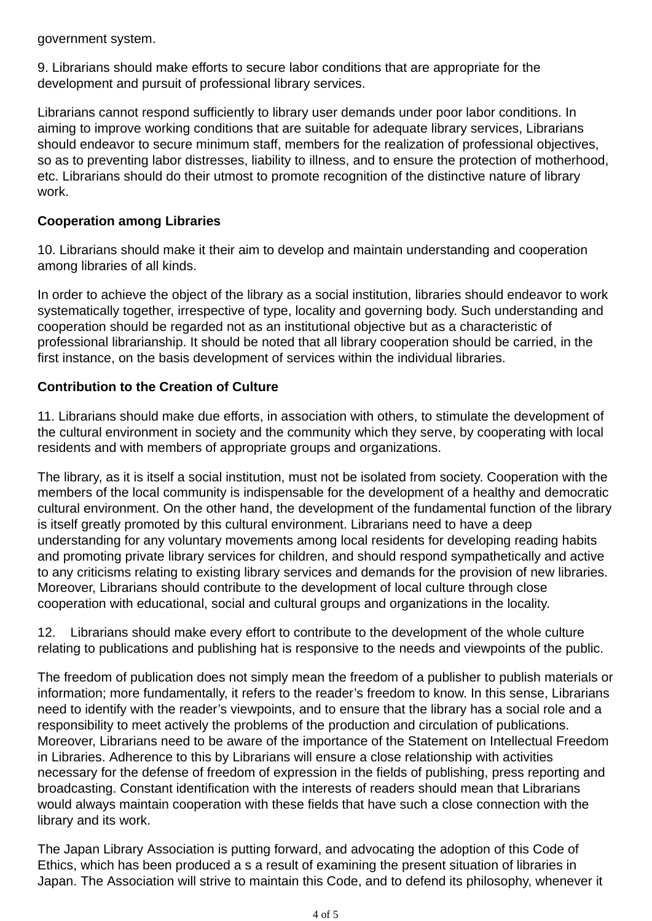government system.

9. Librarians should make efforts to secure labor conditions that are appropriate for the development and pursuit of professional library services.

Librarians cannot respond sufficiently to library user demands under poor labor conditions. In aiming to improve working conditions that are suitable for adequate library services, Librarians should endeavor to secure minimum staff, members for the realization of professional objectives, so as to preventing labor distresses, liability to illness, and to ensure the protection of motherhood, etc. Librarians should do their utmost to promote recognition of the distinctive nature of library work.

## **Cooperation among Libraries**

10. Librarians should make it their aim to develop and maintain understanding and cooperation among libraries of all kinds.

In order to achieve the object of the library as a social institution, libraries should endeavor to work systematically together, irrespective of type, locality and governing body. Such understanding and cooperation should be regarded not as an institutional objective but as a characteristic of professional librarianship. It should be noted that all library cooperation should be carried, in the first instance, on the basis development of services within the individual libraries.

### **Contribution to the Creation of Culture**

11. Librarians should make due efforts, in association with others, to stimulate the development of the cultural environment in society and the community which they serve, by cooperating with local residents and with members of appropriate groups and organizations.

The library, as it is itself a social institution, must not be isolated from society. Cooperation with the members of the local community is indispensable for the development of a healthy and democratic cultural environment. On the other hand, the development of the fundamental function of the library is itself greatly promoted by this cultural environment. Librarians need to have a deep understanding for any voluntary movements among local residents for developing reading habits and promoting private library services for children, and should respond sympathetically and active to any criticisms relating to existing library services and demands for the provision of new libraries. Moreover, Librarians should contribute to the development of local culture through close cooperation with educational, social and cultural groups and organizations in the locality.

12. Librarians should make every effort to contribute to the development of the whole culture relating to publications and publishing hat is responsive to the needs and viewpoints of the public.

The freedom of publication does not simply mean the freedom of a publisher to publish materials or information; more fundamentally, it refers to the reader's freedom to know. In this sense, Librarians need to identify with the reader's viewpoints, and to ensure that the library has a social role and a responsibility to meet actively the problems of the production and circulation of publications. Moreover, Librarians need to be aware of the importance of the Statement on Intellectual Freedom in Libraries. Adherence to this by Librarians will ensure a close relationship with activities necessary for the defense of freedom of expression in the fields of publishing, press reporting and broadcasting. Constant identification with the interests of readers should mean that Librarians would always maintain cooperation with these fields that have such a close connection with the library and its work.

The Japan Library Association is putting forward, and advocating the adoption of this Code of Ethics, which has been produced a s a result of examining the present situation of libraries in Japan. The Association will strive to maintain this Code, and to defend its philosophy, whenever it